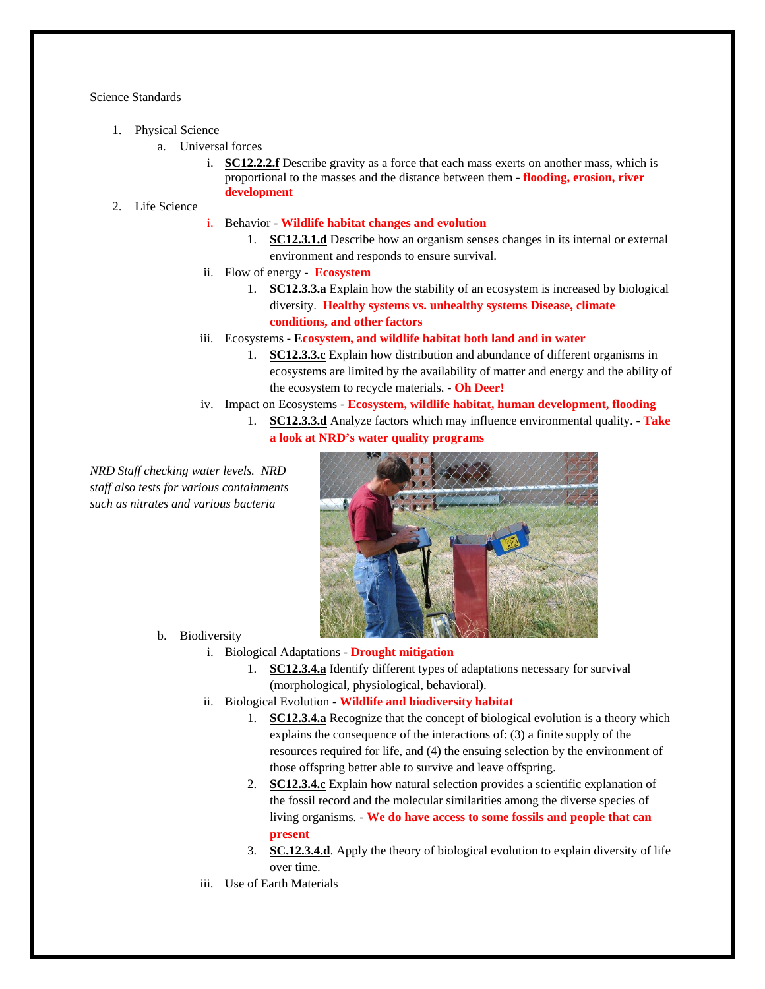Science Standards

- 1. Physical Science
	- a. Universal forces
		- i. **SC12.2.2.f** Describe gravity as a force that each mass exerts on another mass, which is proportional to the masses and the distance between them - **flooding, erosion, river development**
- 2. Life Science

## i. Behavior - **Wildlife habitat changes and evolution**

- 1. **SC12.3.1.d** Describe how an organism senses changes in its internal or external environment and responds to ensure survival.
- ii. Flow of energy **Ecosystem**
	- 1. **SC12.3.3.a** Explain how the stability of an ecosystem is increased by biological diversity. **Healthy systems vs. unhealthy systems Disease, climate conditions, and other factors**
- iii. Ecosystems  **Ecosystem, and wildlife habitat both land and in water**
	- 1. **SC12.3.3.c** Explain how distribution and abundance of different organisms in ecosystems are limited by the availability of matter and energy and the ability of the ecosystem to recycle materials. - **Oh Deer!**
- iv. Impact on Ecosystems **Ecosystem, wildlife habitat, human development, flooding**
	- 1. **SC12.3.3.d** Analyze factors which may influence environmental quality. **Take a look at NRD's water quality programs**

*NRD Staff checking water levels. NRD staff also tests for various containments such as nitrates and various bacteria*



- b. Biodiversity
	- i. Biological Adaptations **Drought mitigation**
		- 1. **SC12.3.4.a** Identify different types of adaptations necessary for survival (morphological, physiological, behavioral).
	- ii. Biological Evolution **Wildlife and biodiversity habitat** 
		- 1. **SC12.3.4.a** Recognize that the concept of biological evolution is a theory which explains the consequence of the interactions of: (3) a finite supply of the resources required for life, and (4) the ensuing selection by the environment of those offspring better able to survive and leave offspring.
		- 2. **SC12.3.4.c** Explain how natural selection provides a scientific explanation of the fossil record and the molecular similarities among the diverse species of living organisms. - **We do have access to some fossils and people that can present**
		- 3. **SC.12.3.4.d**. Apply the theory of biological evolution to explain diversity of life over time.
	- iii. Use of Earth Materials